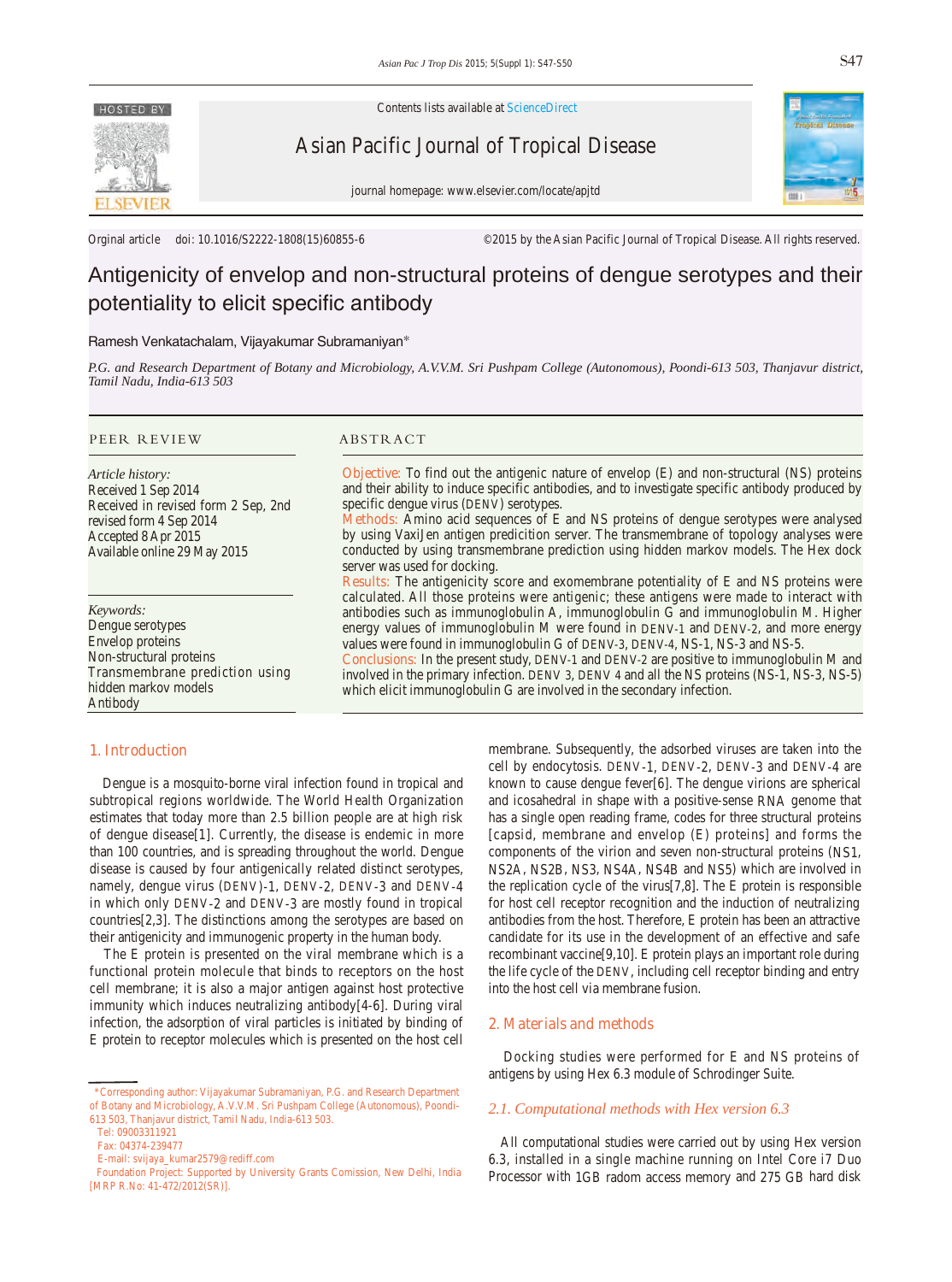

Contents lists available at ScienceDirect

Asian Pacific Journal of Tropical Disease



journal homepage: www.elsevier.com/locate/apjtd

Orginal article doi: 10.1016/S2222-1808(15)60855-6 ©2015 by the Asian Pacific Journal of Tropical Disease. All rights reserved.

# Antigenicity of envelop and non-structural proteins of dengue serotypes and their potentiality to elicit specific antibody

# Ramesh Venkatachalam, Vijayakumar Subramaniyan\*

*P.G. and Research Department of Botany and Microbiology, A.V.V.M. Sri Pushpam College (Autonomous), Poondi-613 503, Thanjavur district, Tamil Nadu, India-613 503* 

#### PEER REVIEW ABSTRACT

*Article history:* Received 1 Sep 2014 Received in revised form 2 Sep, 2nd revised form 4 Sep 2014 Accepted 8 Apr 2015 Available online 29 May 2015

*Keywords:* Dengue serotypes Envelop proteins Non-structural proteins Transmembrane prediction using hidden markov models Antibody

**Objective:** To find out the antigenic nature of envelop (E) and non-structural (NS) proteins and their ability to induce specific antibodies, and to investigate specific antibody produced by specific dengue virus (DENV) serotypes.

**Methods:** Amino acid sequences of E and NS proteins of dengue serotypes were analysed by using VaxiJen antigen predicition server. The transmembrane of topology analyses were conducted by using transmembrane prediction using hidden markov models. The Hex dock server was used for docking.

**Results:** The antigenicity score and exomembrane potentiality of E and NS proteins were calculated. All those proteins were antigenic; these antigens were made to interact with antibodies such as immunoglobulin A, immunoglobulin G and immunoglobulin M. Higher energy values of immunoglobulin M were found in DENV-1 and DENV-2, and more energy values were found in immunoglobulin G of DENV-3, DENV-4, NS-1, NS-3 and NS-5.

**Conclusions:** In the present study, DENV-1 and DENV-2 are positive to immunoglobulin M and involved in the primary infection. DENV 3, DENV 4 and all the NS proteins (NS-1, NS-3, NS-5) which elicit immunoglobulin G are involved in the secondary infection.

# **1. Introduction**

 Dengue is a mosquito-borne viral infection found in tropical and subtropical regions worldwide. The World Health Organization estimates that today more than 2.5 billion people are at high risk of dengue disease[1]. Currently, the disease is endemic in more than 100 countries, and is spreading throughout the world. Dengue disease is caused by four antigenically related distinct serotypes, namely, dengue virus (DENV)-1, DENV-2, DENV-3 and DENV-4 in which only DENV-2 and DENV-3 are mostly found in tropical countries[2,3]. The distinctions among the serotypes are based on their antigenicity and immunogenic property in the human body.

 The E protein is presented on the viral membrane which is a functional protein molecule that binds to receptors on the host cell membrane; it is also a major antigen against host protective immunity which induces neutralizing antibody[4-6]. During viral infection, the adsorption of viral particles is initiated by binding of E protein to receptor molecules which is presented on the host cell membrane. Subsequently, the adsorbed viruses are taken into the cell by endocytosis. DENV-1, DENV-2, DENV-3 and DENV-4 are known to cause dengue fever[6]. The dengue virions are spherical and icosahedral in shape with a positive-sense RNA genome that has a single open reading frame, codes for three structural proteins [capsid, membrane and envelop (E) proteins] and forms the components of the virion and seven non-structural proteins (NS1, NS2A, NS2B, NS3, NS4A, NS4B and NS5) which are involved in the replication cycle of the virus[7,8]. The E protein is responsible for host cell receptor recognition and the induction of neutralizing antibodies from the host. Therefore, E protein has been an attractive candidate for its use in the development of an effective and safe recombinant vaccine[9,10]. E protein plays an important role during the life cycle of the DENV, including cell receptor binding and entry into the host cell via membrane fusion.

#### **2. Materials and methods**

 Docking studies were performed for E and NS proteins of antigens by using Hex 6.3 module of Schrodinger Suite.

# *2.1. Computational methods with Hex version 6.3*

 All computational studies were carried out by using Hex version 6.3, installed in a single machine running on Intel Core i7 Duo Processor with 1GB radom access memory and 275 GB hard disk

 <sup>\*</sup>Corresponding author: Vijayakumar Subramaniyan, P.G. and Research Department of Botany and Microbiology, A.V.V.M. Sri Pushpam College (Autonomous), Poondi-613 503, Thanjavur district, Tamil Nadu, India-613 503.

Tel: 09003311921

Fax: 04374-239477

E-mail: svijaya\_kumar2579@rediff.com

Foundation Project: Supported by University Grants Comission, New Delhi, India [MRP R.No: 41-472/2012(SR)].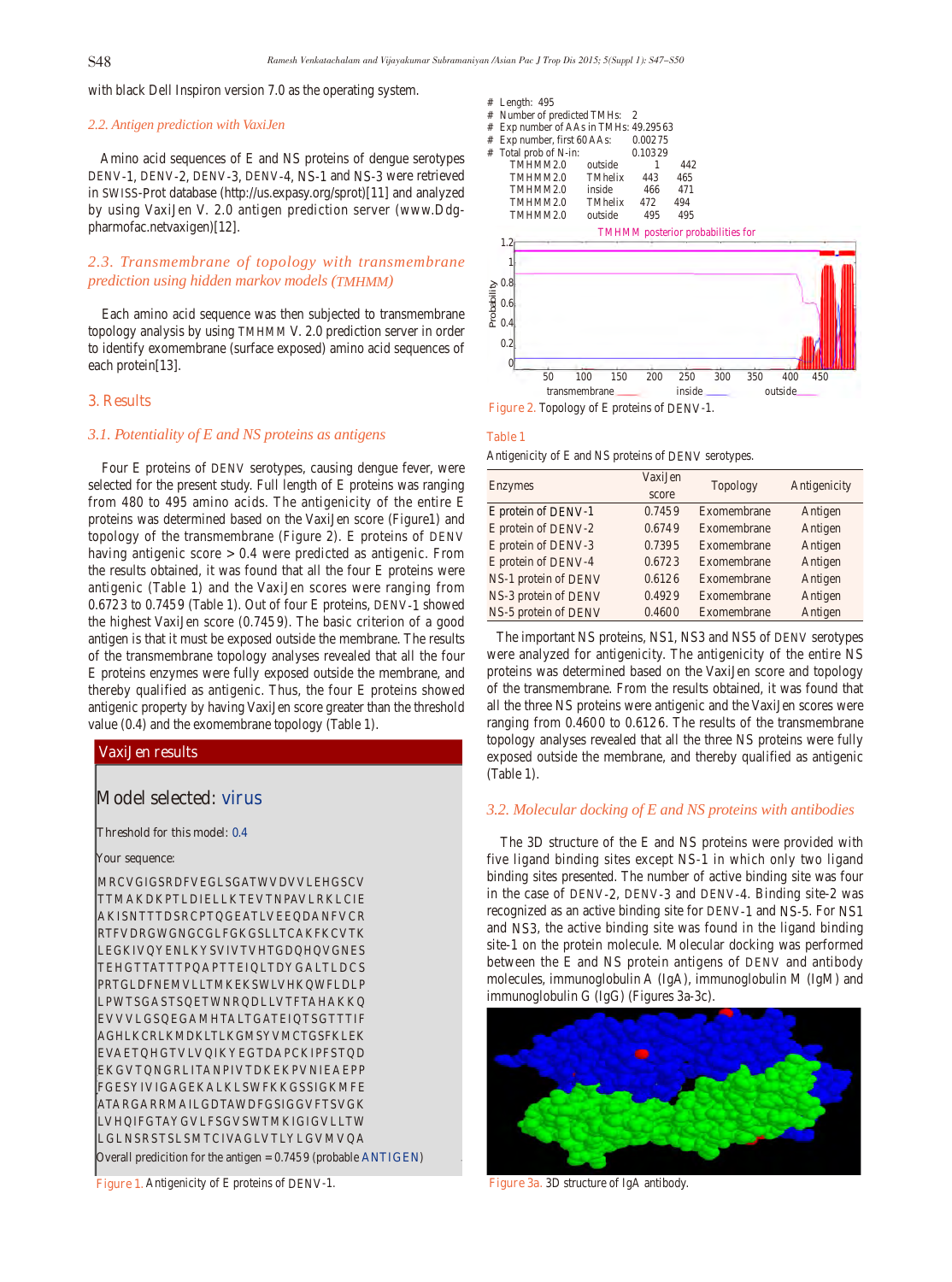with black Dell Inspiron version 7.0 as the operating system.

### *2.2. Antigen prediction with VaxiJen*

 Amino acid sequences of E and NS proteins of dengue serotypes DENV-1, DENV-2, DENV-3, DENV-4, NS-1 and NS-3 were retrieved in SWISS-Prot database (http://us.expasy.org/sprot)[11] and analyzed by using VaxiJen V. 2.0 antigen prediction server (www.Ddgpharmofac.netvaxigen)[12].

# *2.3. Transmembrane of topology with transmembrane prediction using hidden markov models (TMHMM)*

 Each amino acid sequence was then subjected to transmembrane topology analysis by using TMHMM V. 2.0 prediction server in order to identify exomembrane (surface exposed) amino acid sequences of each protein[13].

#### **3. Results**

## *3.1. Potentiality of E and NS proteins as antigens*

 Four E proteins of DENV serotypes, causing dengue fever, were selected for the present study. Full length of E proteins was ranging from 480 to 495 amino acids. The antigenicity of the entire E proteins was determined based on the VaxiJen score (Figure1) and topology of the transmembrane (Figure 2). E proteins of DENV having antigenic score > 0.4 were predicted as antigenic. From the results obtained, it was found that all the four E proteins were antigenic (Table 1) and the VaxiJen scores were ranging from 0.6723 to 0.7459 (Table 1). Out of four E proteins, DENV-1 showed the highest VaxiJen score (0.745 9). The basic criterion of a good antigen is that it must be exposed outside the membrane. The results of the transmembrane topology analyses revealed that all the four E proteins enzymes were fully exposed outside the membrane, and thereby qualified as antigenic. Thus, the four E proteins showed antigenic property by having VaxiJen score greater than the threshold value (0.4) and the exomembrane topology (Table 1).

### **VaxiJen results**

# **Model selected: virus**

#### **Threshold for this model: 0.4**

#### **Your sequence:**

MRCVGIGSRDFVEGLSGATWVDVVLEHGSCV TTMAKDKPTLDIELLKTEVTNPAVLRKLCIE AKISNTTTDSRCPTQGEATLVEEQDANFVCR RTFVDRGWGNGCGLFGKGSLLTCAKFKCVTK LEGKIVQYENLKYSVIVTVHTGDQHQVGNES TEHGTTATTTPQAPTTEIQLTDYGALTLDCS PRTGLDFNEMVLLTMKEKSWLVHKQWFLDLP LPWTSGASTSQETWNRQDLLVTFTAHAKKQ EVVVLGSQEGAMHTALTGATEIQTSGTTTIF AGHLKCRLKMDKLTLKGMSYVMCTGSFKLEK EVAETQHGTVLVQIKYEGTDAPCKIPFSTQD EKGVTQNGRLITANPIVTDKEKPVNIEAEPP FGESYIVIGAGEKALKLSWFKKGSSIGKMFE ATARGARRMAILGDTAWDFGSIGGVFTSVGK LVHQIFGTAYGVLFSGVSWTMKIGIGVLLTW LGLNSRSTSLSMTCIVAGLVTLYLGVMVQA

Overall predicition for the antigen = 0.7459 (probable **ANTIGEN**)

| $#$ Length: 495                       |         |         |     |  |
|---------------------------------------|---------|---------|-----|--|
| # Number of predicted TMHs: 2         |         |         |     |  |
| # Exp number of AAs in TMHs: 49.29563 |         |         |     |  |
| # Exp number, first 60 AAs:           |         | 0.00275 |     |  |
| # Total prob of N-in:                 |         | 0.10329 |     |  |
| TMHMM2.0                              | outside |         | 442 |  |
| TMHMM2.0                              | TMhelix | 443     | 465 |  |
| TMHMM2.0                              | inside  | 466     | 471 |  |
| TMHMM2.0                              | TMhelix | 472     | 494 |  |



#### **Table 1**

Antigenicity of E and NS proteins of DENV serotypes.

| Enzymes              | VaxiJen | <b>Topology</b> | Antigenicity |  |
|----------------------|---------|-----------------|--------------|--|
|                      | score   |                 |              |  |
| E protein of DENV-1  | 0.7459  | Exomembrane     | Antigen      |  |
| E protein of DENV-2  | 0.6749  | Exomembrane     | Antigen      |  |
| E protein of DENV-3  | 0.7395  | Exomembrane     | Antigen      |  |
| E protein of DENV-4  | 0.6723  | Exomembrane     | Antigen      |  |
| NS-1 protein of DENV | 0.6126  | Exomembrane     | Antigen      |  |
| NS-3 protein of DENV | 0.4929  | Exomembrane     | Antigen      |  |
| NS-5 protein of DENV | 0.4600  | Exomembrane     | Antigen      |  |

 The important NS proteins, NS1, NS3 and NS5 of DENV serotypes were analyzed for antigenicity. The antigenicity of the entire NS proteins was determined based on the VaxiJen score and topology of the transmembrane. From the results obtained, it was found that all the three NS proteins were antigenic and the VaxiJen scores were ranging from 0.4600 to 0.6126. The results of the transmembrane topology analyses revealed that all the three NS proteins were fully exposed outside the membrane, and thereby qualified as antigenic (Table 1).

### *3.2. Molecular docking of E and NS proteins with antibodies*

 The 3D structure of the E and NS proteins were provided with five ligand binding sites except NS-1 in which only two ligand binding sites presented. The number of active binding site was four in the case of DENV-2, DENV-3 and DENV-4. Binding site-2 was recognized as an active binding site for DENV-1 and NS-5. For NS1 and NS3, the active binding site was found in the ligand binding site-1 on the protein molecule. Molecular docking was performed between the E and NS protein antigens of DENV and antibody molecules, immunoglobulin A (IgA), immunoglobulin M (IgM) and immunoglobulin G (IgG) (Figures 3a-3c).



**Figure 3a.** 3D structure of IgA antibody.

**Figure 1.** Antigenicity of E proteins of DENV-1.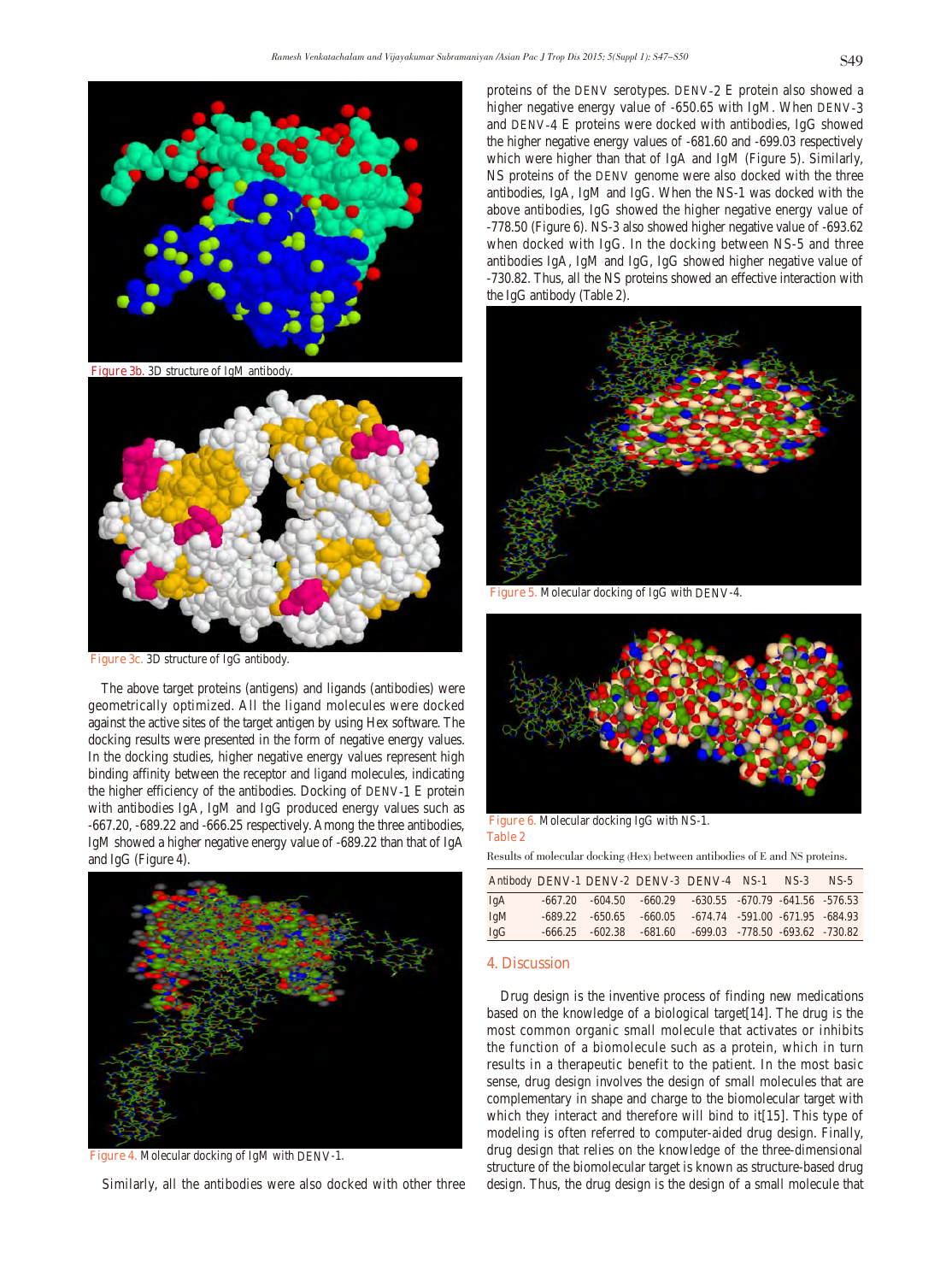

**Figure 3b.** 3D structure of IgM antibody.



**Figure 3c.** 3D structure of IgG antibody.

 The above target proteins (antigens) and ligands (antibodies) were geometrically optimized. All the ligand molecules were docked against the active sites of the target antigen by using Hex software. The docking results were presented in the form of negative energy values. In the docking studies, higher negative energy values represent high binding affinity between the receptor and ligand molecules, indicating the higher efficiency of the antibodies. Docking of DENV-1 E protein with antibodies IgA, IgM and IgG produced energy values such as -667.20, -689.22 and -666.25 respectively. Among the three antibodies, IgM showed a higher negative energy value of -689.22 than that of IgA and IgG (Figure 4).



**Figure 4.** Molecular docking of IgM with DENV-1.

Similarly, all the antibodies were also docked with other three

proteins of the DENV serotypes. DENV-2 E protein also showed a higher negative energy value of -650.65 with IgM. When DENV-3 and DENV-4 E proteins were docked with antibodies, IgG showed the higher negative energy values of -681.60 and -699.03 respectively which were higher than that of IgA and IgM (Figure 5). Similarly, NS proteins of the DENV genome were also docked with the three antibodies, IgA, IgM and IgG. When the NS-1 was docked with the above antibodies, IgG showed the higher negative energy value of -778.50 (Figure 6). NS-3 also showed higher negative value of -693.62 when docked with IgG. In the docking between NS-5 and three antibodies IgA, IgM and IgG, IgG showed higher negative value of -730.82. Thus, all the NS proteins showed an effective interaction with the IgG antibody (Table 2).



**Figure 5.** Molecular docking of IgG with DENV-4.



**Figure 6.** Molecular docking IgG with NS-1. **Table 2**

Results of molecular docking (Hex) between antibodies of E and NS proteins.

|     |  | Antibody DENV-1 DENV-2 DENV-3 DENV-4 NS-1                             |  | $NS-3$ | $NS-5$ |
|-----|--|-----------------------------------------------------------------------|--|--------|--------|
| IgA |  | $-667.20$ $-604.50$ $-660.29$ $-630.55$ $-670.79$ $-641.56$ $-576.53$ |  |        |        |
| IgM |  | $-689.22$ $-650.65$ $-660.05$ $-674.74$ $-591.00$ $-671.95$ $-684.93$ |  |        |        |
| IgG |  | $-666.25$ $-602.38$ $-681.60$ $-699.03$ $-778.50$ $-693.62$ $-730.82$ |  |        |        |

### **4. Discussion**

 Drug design is the inventive process of finding new medications based on the knowledge of a biological target[14]. The drug is the most common organic small molecule that activates or inhibits the function of a biomolecule such as a protein, which in turn results in a therapeutic benefit to the patient. In the most basic sense, drug design involves the design of small molecules that are complementary in shape and charge to the biomolecular target with which they interact and therefore will bind to it[15]. This type of modeling is often referred to computer-aided drug design. Finally, drug design that relies on the knowledge of the three-dimensional structure of the biomolecular target is known as structure-based drug design. Thus, the drug design is the design of a small molecule that